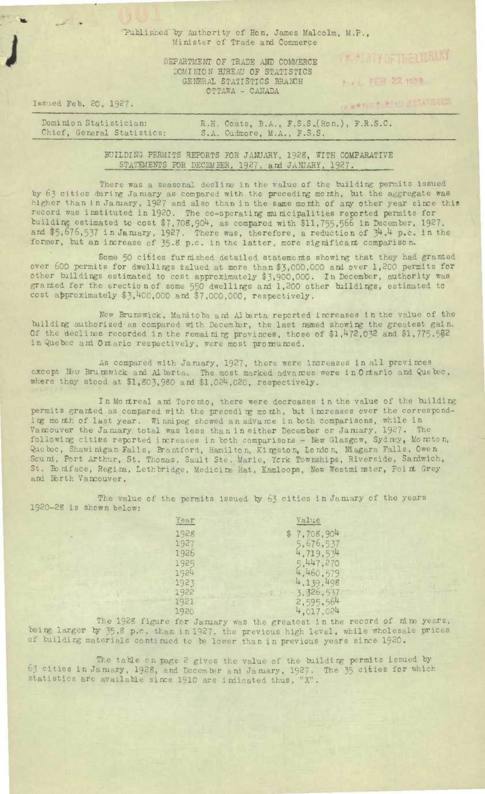Fublished by Authority of Hon. James Malcolm, M.P.,<br>Minister of Trade and Commerce

THE PLATY OF THE LIBRARY

WARRANT R. REALI & STATISTICS

**REAL FEB 22 1928** 

Minister of Trade and Commerce<br> *DEPARTMENT OF TRADE AND COMMERCE*<br>
PARTMENT OF TRADE AND COMMERCE DOMINION BUREAU OF STATISTICS GENERAL STATISTICS BRANCH OTTAWA - QANADA

Issued Feb. 20, *1927.* 

**AL** 

| Dominion Statistician:<br>Chief, General Statistics: | R.H. Coats, B.A., F.S.S. (Hon.), F.R.S.C.<br>S.A. Cudmore, M.A., F.S.S. |  |
|------------------------------------------------------|-------------------------------------------------------------------------|--|
|                                                      |                                                                         |  |

BUILDING PERMITS REPORTS FOR JANUARY, 1928, WITH COMPARATIVE STATEMENTS FOR DECEMPER, 1927, and JANJARY, 1927.

There was a seasonal decline in the value of the building permits issued by 63 cities during January as compared with the preceding month, but the aggregate was higher than in Jaruary, *1927* and also than in the same month of *aw* other year since this record was instituted in *1920.* The co-operatirg municipalities reported permits for building estimated to cost *\$7,708,904* , as compared with *\$11,755,566* **in** December, *1927,*  and *\$5,676,537* inJaniary, *1927.* There was, therefore, a reduction of *34.4* p.c. **in** the former, but an increase of *35.8* p.c. in the latter, more significant comparison.

Some 50 cities furnished detailed statements showing that they had granted over 600 permits for dwellings ralued at more than \$3,000,000 and over 1,200 permits for Other buildings estimated to cost approximately *\$3,900,000.* **In** December, authority was granted for the erection of some 550 dwellings and 1,200 other buildings, estimated to cost aproximate1y *\$3,400,000* and *\$7,000,000,* respectively.

New Brunswick. Manitoba and Alberta reported increases in the value of the building authorized as compared with December, the last named showing the greatest gain. Of the declines recorded in the rernainirg provinces, those of *\$1,472,032* and \$<sup>1</sup> *,775,5 <sup>2</sup>* in Quebec and Ontario respectively, were most pro munced.

As compared with January, 1927, there were increases in all provinces except New Brunswick and Alberta. The most marked advances were in Ontario and Quebec, where they stood at *\$1,803,980* and *\$1,024,020,* respectively.

In Montreal and Toronto, there were decreases in the value of the building permits granted as compared with the preceding month, but increases over the corresponding month of last year. Winnipeg showed an advance in both comparisons, while in Vancouver the January total was less than in either December or January, 1927. The following cities reported increases in both comparisons - New Glasgow, Sydney, Moncton, Quebec, Shawinigan Falls, Brantford, Hamilton, Kirgston, London, Niagara Falls, Owen Scuni, Port Arthur, St. Thomas, Sault Ste. Marie, York Townships, Riverside, Sandwich, St. Boniface, Regina, Lethbridge, Medicine Hat, Kamloops, New Westminster, Point Grey and North Vancouver.

The value of the permits issued by 63 cities in January of the years *1920-28* is shown below:

| Year | Value       |
|------|-------------|
| 1928 | \$7,708,904 |
| 1927 | 5,676,537   |
| 1926 | 4,719,534   |
| 1925 | 5,447,270   |
| 1924 | 4,460,579   |
| 1923 | 4, 139, 498 |
| 1922 | 3, 326, 537 |
| 1921 | 2,595,564   |
| 1920 | 4,017,024   |

The 1928 figure for January was the greatest in the record of nine years, being larger by *35.8* p.c. than in *1q27,* the previous high level, while wholesale prices of building materials continued to be lower than in previous years since *1920.* 

The table on page 2 gives the value of the building permits issued by *<sup>63</sup>*cities In Jaruary, *1928,* and December and Jaruary, *1927.* The *35* cities for which statistics are available since 1910 are indicated thus, "X".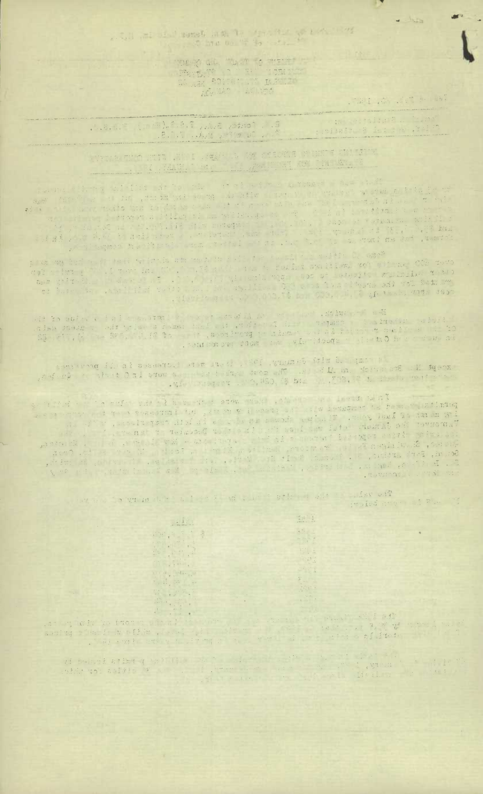. C.H. and their moment with the street that the high state

 $\mathbb{R}^2$ 

THE POSSESSION

**Asset** 

The County of the Second Second<br>Constant of Lands Second Second 

Security Humburg and Conservation of the Conservation of the Conservation of the Conservation of the Conservation of the Conservation of the Conservation of the Conservation of the Conservation of the Conservation of the C THE PARTY OF PLANTING WAS COMPANIED.

8.85% 第19、第二

dit in 2007 was been deep the computer of the first of the second computer of the second that is a higher computer of the second the second the second the second the second the second the second the second the second the s

Roept Mar Brough 16 with January, 1984, there were thoreses foarlingere some foar.<br>Roept Mar Brounstok heidlich te The gost syferical and a were information of Curry.

The value of the contribution of the Second and the control of the ingled and at big or

| sil.<br>$\frac{1}{2} \left( \frac{1}{2} \frac{1}{2} \frac{1}{2} \frac{1}{2} \frac{1}{2} \frac{1}{2} \frac{1}{2} \frac{1}{2} \frac{1}{2} \frac{1}{2} \frac{1}{2} \frac{1}{2} \frac{1}{2} \frac{1}{2} \frac{1}{2} \frac{1}{2} \frac{1}{2} \frac{1}{2} \frac{1}{2} \frac{1}{2} \frac{1}{2} \frac{1}{2} \frac{1}{2} \frac{1}{2} \frac{1}{2} \frac{1}{2} \frac{1}{2} \frac{1}{2} \frac{1}{2} \frac{1}{2}$                                                                                                                                               | and the state of the con-<br>Telling St                                                                         |
|----------------------------------------------------------------------------------------------------------------------------------------------------------------------------------------------------------------------------------------------------------------------------------------------------------------------------------------------------------------------------------------------------------------------------------------------------------------------------------------------------------------------------------------------------|-----------------------------------------------------------------------------------------------------------------|
| $200\pm 0.7$ , $\bar{1}$<br>÷                                                                                                                                                                                                                                                                                                                                                                                                                                                                                                                      | 30%<br>$\sim$ 1.4 $\sim$                                                                                        |
| 计加工 地工<br>e                                                                                                                                                                                                                                                                                                                                                                                                                                                                                                                                        | -0<br>state of                                                                                                  |
| $\Gamma$ , $\Gamma$ , $\Gamma$ ,<br>$\frac{1}{2} \left( \frac{1}{2} \right) \left( \frac{1}{2} \right) \left( \frac{1}{2} \right)$                                                                                                                                                                                                                                                                                                                                                                                                                 | $\frac{1}{2} \left( \frac{1}{2} \right) \left( \frac{1}{2} \right)$<br>$\sim$ $\sigma$ $_{\odot}$<br>$\sim 100$ |
| $\label{eq:2.1} \mathcal{N}(\mathcal{N}) = \frac{1}{2} \left[ \mathcal{N}(\mathcal{N}) \mathcal{N}(\mathcal{N}) \right] \mathcal{N}(\mathcal{N})$<br>Service State                                                                                                                                                                                                                                                                                                                                                                                 | 科目                                                                                                              |
| 其語的<br>$-4$                                                                                                                                                                                                                                                                                                                                                                                                                                                                                                                                        | <b>Contract</b>                                                                                                 |
| $\mathbb{E} \left[ \begin{array}{cc} \mathbb{E} & \mathbb{E} \mathbb{E} \left[ \begin{array}{cc} \mathbb{E} \mathbb{E} \left[ \begin{array}{cc} \mathbb{E} \mathbb{E} \left[ \begin{array}{cc} \mathbb{E} \mathbb{E} \left[ \begin{array}{cc} \mathbb{E} \left[ \begin{array}{ccc} \mathbb{E} \left[ \begin{array}{ccc} \mathbb{E} \left[ \begin{array}{ccc} \mathbb{E} \left[ \begin{array}{ccc} \mathbb{E} \left[ \begin{array}{ccc} \mathbb{E} \left[ \begin{array}{ccc} \mathbb{E} \left[ \begin{array$<br>$\mathbf{a} = \mathbf{v}$<br>$\sim$ | Sales of the                                                                                                    |
| Las River<br>and the first                                                                                                                                                                                                                                                                                                                                                                                                                                                                                                                         |                                                                                                                 |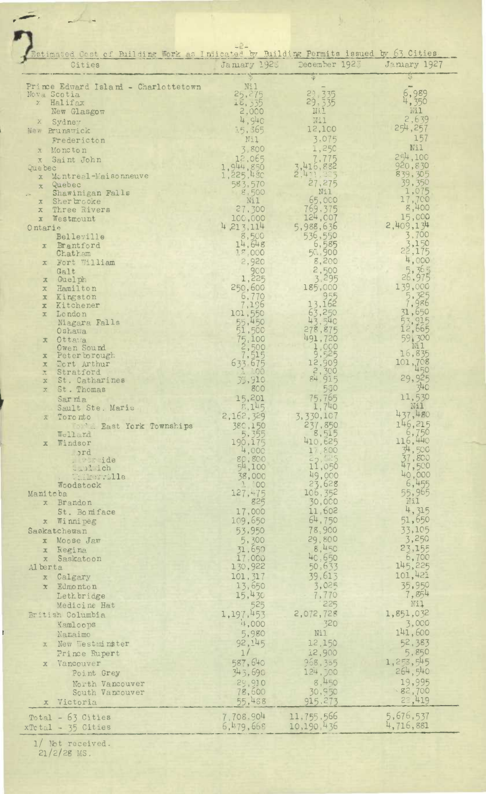| Estimated Cest of Building Work as Indicated by Building Permits issued by 63 Cities | $-1 -$                     |                      |                        |
|--------------------------------------------------------------------------------------|----------------------------|----------------------|------------------------|
| Cities                                                                               | January 1923               | December 1923        | January 1927           |
|                                                                                      |                            | $\omega$             |                        |
| Prince Edward Island - Charlottetown<br>Nova Scotia                                  | N <sub>i</sub> 1<br>25,275 |                      | 6,989                  |
| Halifax<br>$\Sigma$                                                                  | 12, 335                    | 29, 335              | 4,350                  |
| New Glasgow<br>Sydney<br>X.                                                          | 2,000<br>4,940             | Ni1<br>Nil           | Wil<br>2,639           |
| New Prunswick                                                                        | 15,365                     | 12,100               | 254,257                |
| Fredericton                                                                          | Ni1                        | 3.075                | 157<br>Nil             |
| Moncton<br>X<br>Saint John                                                           | 3,800<br>12,065            | 1,250                | 254,100                |
| 区<br>Que bec                                                                         | $1,944,850$<br>1,225,430   | 416,882              | 920,830                |
| x Montreal-Maisonneuve                                                               | 583,570                    | 4<br>27,275          | 839,305<br>39,350      |
| Quebec<br>$\mathbf{x}$<br>Shawinigan Falls                                           | 8,500                      | Nil                  | 1,075                  |
| x Sherbrooke<br>Three Rivers                                                         | Nil<br>27,300              | 65,000<br>769,375    | 17.700<br>8,400        |
| $\overline{\mathbf{x}}$<br>Westmount<br>$\mathbf{x}$                                 | 100,000                    | 124,007              | 15,000                 |
| Ontario                                                                              | 4,213,114                  | 5,988,636            | 2,409,134<br>.700      |
| Belleville<br>x Brantford                                                            | 8,500<br>14.648            | 536,550<br>6,585     | .150                   |
| Chatham                                                                              | 15,000                     | 50.900               | 22, 175                |
| x Fort William<br>Galt                                                               | 2,920<br>900               | 8,200<br>2,500       | 4,000<br>365           |
| Guelph<br>工                                                                          | 1,225                      | 3.295                | 26,975                 |
| Hamilton<br>$\overline{X}$                                                           | 250,600<br>6,770           | 185,000<br>955       | 139,000                |
| Kingston<br>$\mathbf{x}$<br>Kitchener<br>$\mathbf{x}$                                | 7,196                      | 13,162               | 986                    |
| London<br>区:                                                                         | 101,550                    | 63,250<br>,540<br>43 | ,650<br>915            |
| Niagara Falls<br>Oshava                                                              | 55,450<br>50C              | 278,875              | 12,665                 |
| x Ottava                                                                             | 100                        | 491,720              | 59,300<br>Mil          |
| Owen Sound<br>Peter borough<br>$\mathbf{x}$                                          | 500                        | .000<br>9,525        | 16,835                 |
| Tort Arthur<br>$\overline{X}$                                                        | 675                        | 12.909               | 101,708                |
| Stratford<br>$\mathbb{T}$<br>St. Catharines<br>$\mathbf{x}$                          | 39,910                     | 2,300<br>84.915      | 29,925                 |
| St. Thomas<br>$\overline{X}$                                                         | 800                        | 590                  |                        |
| Sarmia<br>Sault Ste. Marie                                                           | 15,201<br>5,145            | 75,765<br>1,740      | 11,530<br>Nil          |
| Toronto<br>$\mathbb{X}$                                                              | 2,162,329                  | 3,330,107            | 437,480                |
| <b>East York Townships</b>                                                           | 380,150                    | 237,850<br>8,515     | 146,215<br>6,750       |
| Wellard<br>Windsor<br>$\mathbf{x}$                                                   | 5.355<br>190,175           | 410, 625             | 116,440                |
| $\mathcal{F}$                                                                        | 4,000                      | 17,800               | 34,500                 |
| . wummide<br><b>Lablaich</b>                                                         | 80,800<br>54,100           | $-2.95$<br>11,050    | 37,800                 |
| Wellformtille                                                                        | 38,000                     | 49,000               | 40,000<br>6,455        |
| Woodstock<br>Manitoba                                                                | 1.00<br>$127, -75$         | 23,628<br>106, 352   | 55,965                 |
| x Brandon                                                                            | 825                        | 30,000               | Mil                    |
| St. Bomiface                                                                         | 17,000<br>109.650          | 11,602<br>64,750     | 4,315<br>51,650        |
| x Winnipeg<br>Saskatchewan                                                           | 53,950                     | 78,900               | 33,105                 |
| x Moose Jaw                                                                          | 5,300                      | 29,800               | 3,250                  |
| x Regina<br>x Saskatoon                                                              | 31,650<br>17,000           | 8,450<br>4c, 650     | 23,155<br>6,700        |
| Al berta                                                                             | 130,922                    | 50,633               | 145,225                |
| x Calgary                                                                            | 101, 317                   | 39,613               | 101,421                |
| x Edmonton<br>Lethbridge                                                             | 13,650<br>15,430           | 3,025<br>7,770       | 35,950<br>7,854        |
| Medicine Hat                                                                         | 525                        | 225                  | Nil                    |
| British Columbia                                                                     | 1,197,453                  | 2,072,728            | 1,851,032              |
| Kamloops                                                                             | 4,000<br>5,980             | 320<br>Ni1           | 3,000<br>141,600       |
| Namaimo<br>New Westminster<br>X                                                      | 92, 145                    | 12,150               | 52,383                 |
| Prince Rupert                                                                        | 1/                         | 12,900               | 5,850                  |
| Vancouver<br>$\mathbf{x}$                                                            | 587,640                    | 968,355              | 1, 253, 545<br>264,540 |
| Point Grey                                                                           | 343,690<br>29,910          | 124,500<br>8,450     | 19,995                 |
| North Vancouver<br>South Vancouver                                                   | 78,600                     | 30,950               | 82,700                 |
| Victoria<br>$\overline{X}$                                                           | 55,488                     | 915,273              | 22,419                 |
| Total $-63$ Cities                                                                   | 7,708,904                  | 11, 755, 566         | 5,676,537              |
| $xTcta1 - 35$ Cities                                                                 | 6,479,665                  | 10,190,436           | 4,716,881              |

J.

1/ Not received.<br>21/2/28 MS.